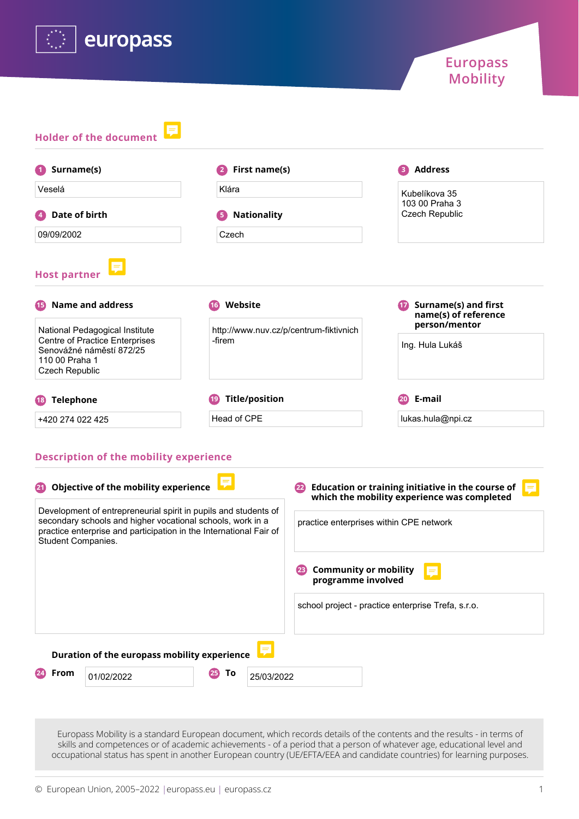

| Surname(s)                                                                                          | First name(s)<br>2                                  | <b>Address</b>                               |  |
|-----------------------------------------------------------------------------------------------------|-----------------------------------------------------|----------------------------------------------|--|
| Veselá                                                                                              | Klára                                               | Kubelíkova 35                                |  |
| Date of birth                                                                                       | <b>Nationality</b><br>5                             | 103 00 Praha 3<br><b>Czech Republic</b>      |  |
| 09/09/2002                                                                                          | Czech                                               |                                              |  |
| <b>Name and address</b><br>15                                                                       | Website<br>(16)                                     | Surname(s) and first<br>name(s) of reference |  |
|                                                                                                     |                                                     |                                              |  |
| National Pedagogical Institute<br><b>Centre of Practice Enterprises</b><br>Senovážné náměstí 872/25 | http://www.nuv.cz/p/centrum-fiktivnich<br>-firem    | person/mentor<br>Ing. Hula Lukáš             |  |
| 110 00 Praha 1<br>Czech Republic                                                                    |                                                     |                                              |  |
| <b>Telephone</b><br>(18)                                                                            | <b>Title/position</b><br>$^{\prime}$ 19 $^{\prime}$ | E-mail<br>(20)                               |  |

| 20                                                                                                                                                                                                                        | Objective of the mobility experience         | Education or training initiative in the course of<br>$=$<br>which the mobility experience was completed |
|---------------------------------------------------------------------------------------------------------------------------------------------------------------------------------------------------------------------------|----------------------------------------------|---------------------------------------------------------------------------------------------------------|
| Development of entrepreneurial spirit in pupils and students of<br>secondary schools and higher vocational schools, work in a<br>practice enterprise and participation in the International Fair of<br>Student Companies. |                                              | practice enterprises within CPE network                                                                 |
|                                                                                                                                                                                                                           |                                              | <b>Community or mobility</b><br>E<br>programme involved                                                 |
|                                                                                                                                                                                                                           |                                              | school project - practice enterprise Trefa, s.r.o.                                                      |
|                                                                                                                                                                                                                           | Duration of the europass mobility experience |                                                                                                         |
| From                                                                                                                                                                                                                      | Τo<br>25)<br>25/03/2022<br>01/02/2022        |                                                                                                         |

Europass Mobility is a standard European document, which records details of the contents and the results - in terms of skills and competences or of academic achievements - of a period that a person of whatever age, educational level and occupational status has spent in another European country (UE/EFTA/EEA and candidate countries) for learning purposes.